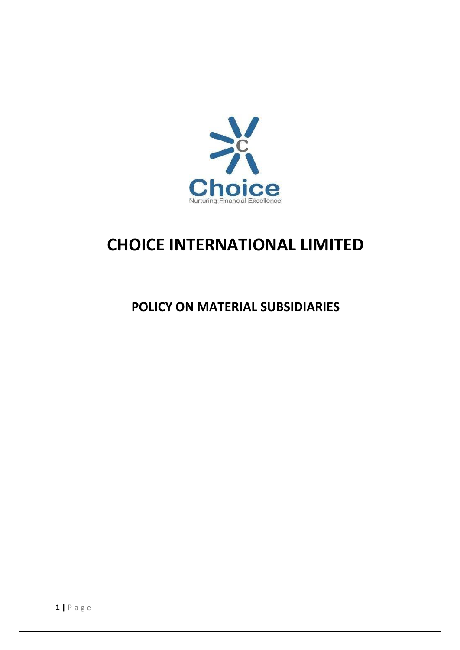

# **CHOICE INTERNATIONAL LIMITED**

# POLICY ON MATERIAL SUBSIDIARIES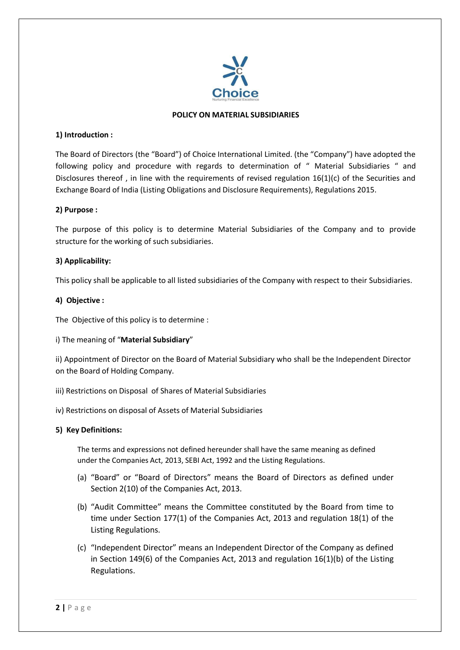

#### **POLICY ON MATERIAL SUBSIDIARIES**

#### **1) Introduction :**

The Board of Directors (the "Board") of Choice International Limited. (the "Company") have adopted the following policy and procedure with regards to determination of " Material Subsidiaries " and Disclosures thereof , in line with the requirements of revised regulation 16(1)(c) of the Securities and Exchange Board of India (Listing Obligations and Disclosure Requirements), Regulations 2015.

#### **2) Purpose :**

The purpose of this policy is to determine Material Subsidiaries of the Company and to provide structure for the working of such subsidiaries.

#### **3) Applicability:**

This policy shall be applicable to all listed subsidiaries of the Company with respect to their Subsidiaries.

#### **4) Objective :**

The Objective of this policy is to determine :

i) The meaning of "**Material Subsidiary**"

ii) Appointment of Director on the Board of Material Subsidiary who shall be the Independent Director on the Board of Holding Company.

- iii) Restrictions on Disposal of Shares of Material Subsidiaries
- iv) Restrictions on disposal of Assets of Material Subsidiaries

#### **5) Key Definitions:**

The terms and expressions not defined hereunder shall have the same meaning as defined under the Companies Act, 2013, SEBI Act, 1992 and the Listing Regulations.

- (a) "Board" or "Board of Directors" means the Board of Directors as defined under Section 2(10) of the Companies Act, 2013.
- (b) "Audit Committee" means the Committee constituted by the Board from time to time under Section 177(1) of the Companies Act, 2013 and regulation 18(1) of the Listing Regulations.
- (c) "Independent Director" means an Independent Director of the Company as defined in Section 149(6) of the Companies Act, 2013 and regulation 16(1)(b) of the Listing Regulations.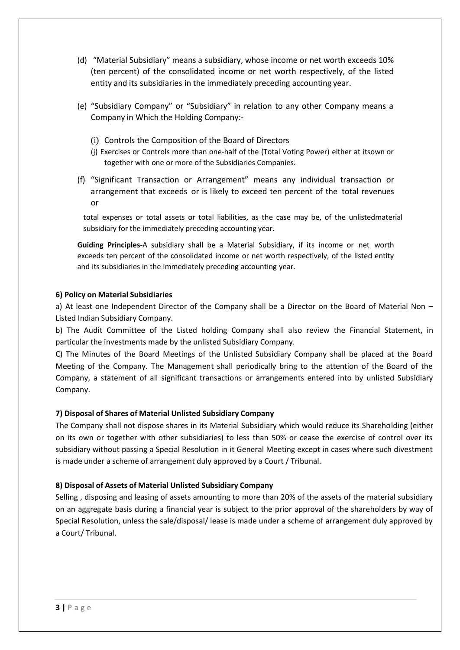- (d) "Material Subsidiary" means a subsidiary, whose income or net worth exceeds 10% (ten percent) of the consolidated income or net worth respectively, of the listed entity and its subsidiaries in the immediately preceding accounting year.
- (e) "Subsidiary Company" or "Subsidiary" in relation to any other Company means a Company in Which the Holding Company:-
	- (i) Controls the Composition of the Board of Directors
	- (j) Exercises or Controls more than one-half of the (Total Voting Power) either at itsown or together with one or more of the Subsidiaries Companies.
- (f) "Significant Transaction or Arrangement" means any individual transaction or arrangement that exceeds or is likely to exceed ten percent of the total revenues or

total expenses or total assets or total liabilities, as the case may be, of the unlistedmaterial subsidiary for the immediately preceding accounting year.

**Guiding Principles-**A subsidiary shall be a Material Subsidiary, if its income or net worth exceeds ten percent of the consolidated income or net worth respectively, of the listed entity and its subsidiaries in the immediately preceding accounting year.

# **6) Policy on Material Subsidiaries**

a) At least one Independent Director of the Company shall be a Director on the Board of Material Non – Listed Indian Subsidiary Company.

b) The Audit Committee of the Listed holding Company shall also review the Financial Statement, in particular the investments made by the unlisted Subsidiary Company.

C) The Minutes of the Board Meetings of the Unlisted Subsidiary Company shall be placed at the Board Meeting of the Company. The Management shall periodically bring to the attention of the Board of the Company, a statement of all significant transactions or arrangements entered into by unlisted Subsidiary Company.

# **7) Disposal of Shares of Material Unlisted Subsidiary Company**

The Company shall not dispose shares in its Material Subsidiary which would reduce its Shareholding (either on its own or together with other subsidiaries) to less than 50% or cease the exercise of control over its subsidiary without passing a Special Resolution in it General Meeting except in cases where such divestment is made under a scheme of arrangement duly approved by a Court / Tribunal.

# **8) Disposal of Assets of Material Unlisted Subsidiary Company**

Selling , disposing and leasing of assets amounting to more than 20% of the assets of the material subsidiary on an aggregate basis during a financial year is subject to the prior approval of the shareholders by way of Special Resolution, unless the sale/disposal/ lease is made under a scheme of arrangement duly approved by a Court/ Tribunal.